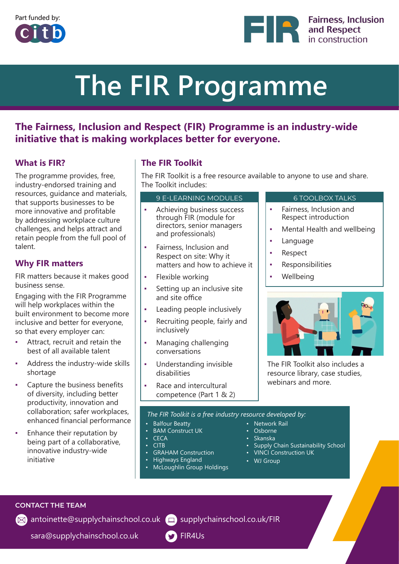





# **The FIR Programme**

### **The Fairness, Inclusion and Respect (FIR) Programme is an industry-wide initiative that is making workplaces better for everyone.**

### **What is FIR?**

The programme provides, free, industry-endorsed training and resources, guidance and materials, that supports businesses to be more innovative and profitable by addressing workplace culture challenges, and helps attract and retain people from the full pool of talent.

### **Why FIR matters**

FIR matters because it makes good business sense.

Engaging with the FIR Programme will help workplaces within the built environment to become more inclusive and better for everyone, so that every employer can:

- Attract, recruit and retain the best of all available talent
- Address the industry-wide skills shortage
- Capture the business benefits of diversity, including better productivity, innovation and collaboration; safer workplaces, enhanced financial performance
- Enhance their reputation by being part of a collaborative, innovative industry-wide initiative

### **The FIR Toolkit**

The FIR Toolkit is a free resource available to anyone to use and share. The Toolkit includes:

### 9 E-LEARNING MODULES 6 TOOLBOX TALKS

- Achieving business success through FIR (module for directors, senior managers and professionals)
- Fairness, Inclusion and Respect on site: Why it matters and how to achieve it
- Flexible working
- Setting up an inclusive site and site office
- Leading people inclusively
- Recruiting people, fairly and inclusively
- Managing challenging conversations
- Understanding invisible disabilities
- Race and intercultural competence (Part 1 & 2)

- Fairness, Inclusion and Respect introduction
- Mental Health and wellbeing
- Language
- Respect
- Responsibilities
- Wellbeing



The FIR Toolkit also includes a resource library, case studies, webinars and more.

*The FIR Toolkit is a free industry resource developed by:*

- Balfour Beatty
- **BAM** Construct UK
- CECA
- CITB
- GRAHAM Construction
- Highways England
- McLoughlin Group Holdings
- Network Rail
	- Osborne
	- Skanska
		-
	- Supply Chain Sustainability School • VINCI Construction UK
	-
	- WJ Group

**CONTACT THE TEAM**

[antoinette](mailto:antoinette%40supplychainschool.co.uk?subject=)[@supplychainschool.co.u](mailto:veronica%40supplychainschool.co.uk?subject=)[k](mailto:antoinette%40supplychainschool.co.uk?subject=) ( $\Box$ ) [supplychainschool.co.uk/FIR](https://supplychainschool.co.uk/FIR)

[sara@supplychainschool.co.uk](mailto:sara%40supplychainschool.co.uk?subject=)

**S** [FIR4Us](https://twitter.com/fir4us)